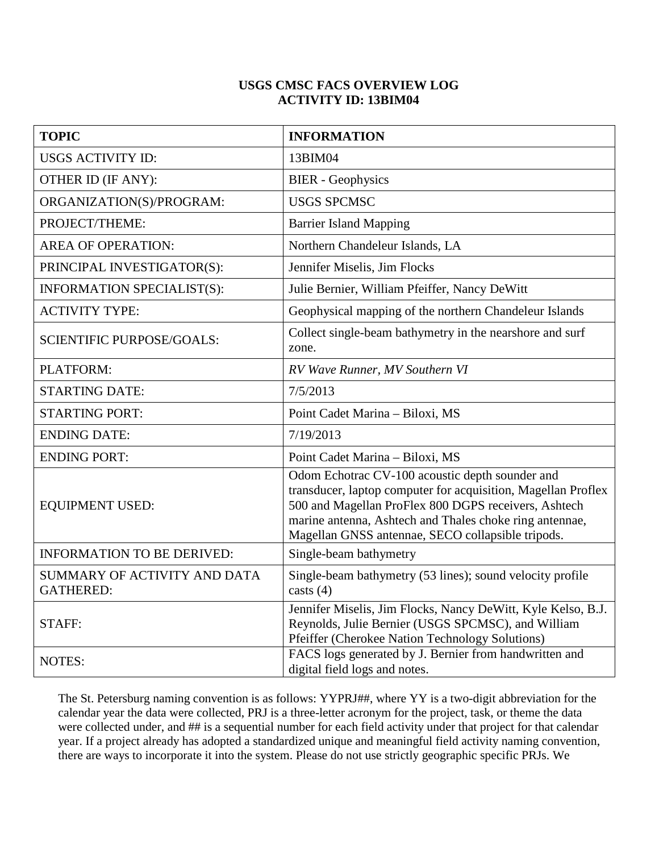## **USGS CMSC FACS OVERVIEW LOG ACTIVITY ID: 13BIM04**

| <b>TOPIC</b>                                     | <b>INFORMATION</b>                                                                                                                                                                                                                                                                       |
|--------------------------------------------------|------------------------------------------------------------------------------------------------------------------------------------------------------------------------------------------------------------------------------------------------------------------------------------------|
| <b>USGS ACTIVITY ID:</b>                         | 13BIM04                                                                                                                                                                                                                                                                                  |
| OTHER ID (IF ANY):                               | <b>BIER</b> - Geophysics                                                                                                                                                                                                                                                                 |
| ORGANIZATION(S)/PROGRAM:                         | <b>USGS SPCMSC</b>                                                                                                                                                                                                                                                                       |
| PROJECT/THEME:                                   | <b>Barrier Island Mapping</b>                                                                                                                                                                                                                                                            |
| <b>AREA OF OPERATION:</b>                        | Northern Chandeleur Islands, LA                                                                                                                                                                                                                                                          |
| PRINCIPAL INVESTIGATOR(S):                       | Jennifer Miselis, Jim Flocks                                                                                                                                                                                                                                                             |
| INFORMATION SPECIALIST(S):                       | Julie Bernier, William Pfeiffer, Nancy DeWitt                                                                                                                                                                                                                                            |
| <b>ACTIVITY TYPE:</b>                            | Geophysical mapping of the northern Chandeleur Islands                                                                                                                                                                                                                                   |
| <b>SCIENTIFIC PURPOSE/GOALS:</b>                 | Collect single-beam bathymetry in the nearshore and surf<br>zone.                                                                                                                                                                                                                        |
| PLATFORM:                                        | RV Wave Runner, MV Southern VI                                                                                                                                                                                                                                                           |
| <b>STARTING DATE:</b>                            | 7/5/2013                                                                                                                                                                                                                                                                                 |
| <b>STARTING PORT:</b>                            | Point Cadet Marina - Biloxi, MS                                                                                                                                                                                                                                                          |
| <b>ENDING DATE:</b>                              | 7/19/2013                                                                                                                                                                                                                                                                                |
| <b>ENDING PORT:</b>                              | Point Cadet Marina - Biloxi, MS                                                                                                                                                                                                                                                          |
| <b>EQUIPMENT USED:</b>                           | Odom Echotrac CV-100 acoustic depth sounder and<br>transducer, laptop computer for acquisition, Magellan Proflex<br>500 and Magellan ProFlex 800 DGPS receivers, Ashtech<br>marine antenna, Ashtech and Thales choke ring antennae,<br>Magellan GNSS antennae, SECO collapsible tripods. |
| <b>INFORMATION TO BE DERIVED:</b>                | Single-beam bathymetry                                                                                                                                                                                                                                                                   |
| SUMMARY OF ACTIVITY AND DATA<br><b>GATHERED:</b> | Single-beam bathymetry (53 lines); sound velocity profile<br>casts $(4)$                                                                                                                                                                                                                 |
| STAFF:                                           | Jennifer Miselis, Jim Flocks, Nancy DeWitt, Kyle Kelso, B.J.<br>Reynolds, Julie Bernier (USGS SPCMSC), and William<br>Pfeiffer (Cherokee Nation Technology Solutions)                                                                                                                    |
| <b>NOTES:</b>                                    | FACS logs generated by J. Bernier from handwritten and<br>digital field logs and notes.                                                                                                                                                                                                  |

The St. Petersburg naming convention is as follows: YYPRJ##, where YY is a two-digit abbreviation for the calendar year the data were collected, PRJ is a three-letter acronym for the project, task, or theme the data were collected under, and ## is a sequential number for each field activity under that project for that calendar year. If a project already has adopted a standardized unique and meaningful field activity naming convention, there are ways to incorporate it into the system. Please do not use strictly geographic specific PRJs. We